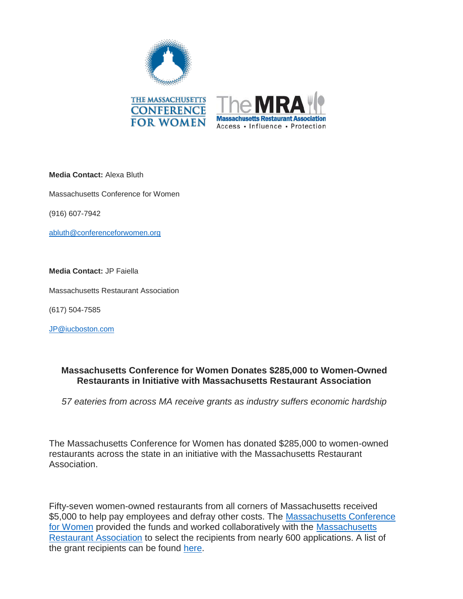

**Media Contact:** Alexa Bluth

Massachusetts Conference for Women

(916) 607-7942

abluth@conferenceforwomen.org

**Media Contact:** JP Faiella

Massachusetts Restaurant Association

(617) 504-7585

JP@iucboston.com

## **Massachusetts Conference for Women Donates \$285,000 to Women-Owned Restaurants in Initiative with Massachusetts Restaurant Association**

*57 eateries from across MA receive grants as industry suffers economic hardship*

The Massachusetts Conference for Women has donated \$285,000 to women-owned restaurants across the state in an initiative with the Massachusetts Restaurant Association.

Fifty-seven women-owned restaurants from all corners of Massachusetts received \$5,000 to help pay employees and defray other costs. The Massachusetts Conference [for Women](https://www.maconferenceforwomen.org/) provided the funds and worked collaboratively with the Massachusetts [Restaurant Association](https://www.themassrest.org/) to select the recipients from nearly 600 applications. A list of the grant recipients can be found [here.](https://www.maconferenceforwomen.org/massachusetts-conference-for-women-donates-285k-to-women-owned-restaurants/)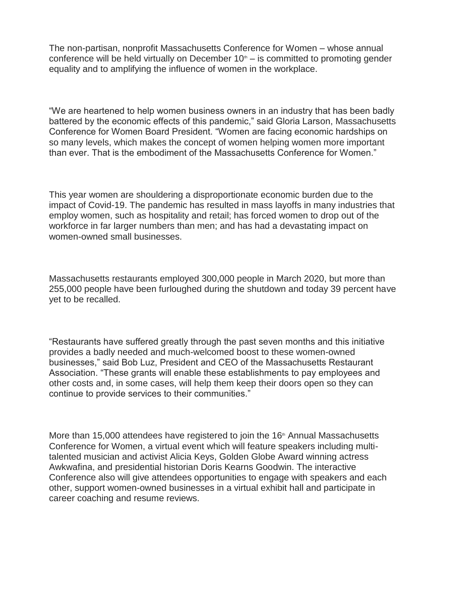The non-partisan, nonprofit Massachusetts Conference for Women – whose annual conference will be held virtually on December  $10<sup>th</sup> -$  is committed to promoting gender equality and to amplifying the influence of women in the workplace.

"We are heartened to help women business owners in an industry that has been badly battered by the economic effects of this pandemic," said Gloria Larson, Massachusetts Conference for Women Board President. "Women are facing economic hardships on so many levels, which makes the concept of women helping women more important than ever. That is the embodiment of the Massachusetts Conference for Women."

This year women are shouldering a disproportionate economic burden due to the impact of Covid-19. The pandemic has resulted in mass layoffs in many industries that employ women, such as hospitality and retail; has forced women to drop out of the workforce in far larger numbers than men; and has had a devastating impact on women-owned small businesses.

Massachusetts restaurants employed 300,000 people in March 2020, but more than 255,000 people have been furloughed during the shutdown and today 39 percent have yet to be recalled.

"Restaurants have suffered greatly through the past seven months and this initiative provides a badly needed and much-welcomed boost to these women-owned businesses," said Bob Luz, President and CEO of the Massachusetts Restaurant Association. "These grants will enable these establishments to pay employees and other costs and, in some cases, will help them keep their doors open so they can continue to provide services to their communities."

More than 15,000 attendees have registered to join the 16<sup>th</sup> Annual Massachusetts Conference for Women, a virtual event which will feature speakers including multitalented musician and activist Alicia Keys, Golden Globe Award winning actress Awkwafina, and presidential historian Doris Kearns Goodwin. The interactive Conference also will give attendees opportunities to engage with speakers and each other, support women-owned businesses in a virtual exhibit hall and participate in career coaching and resume reviews.